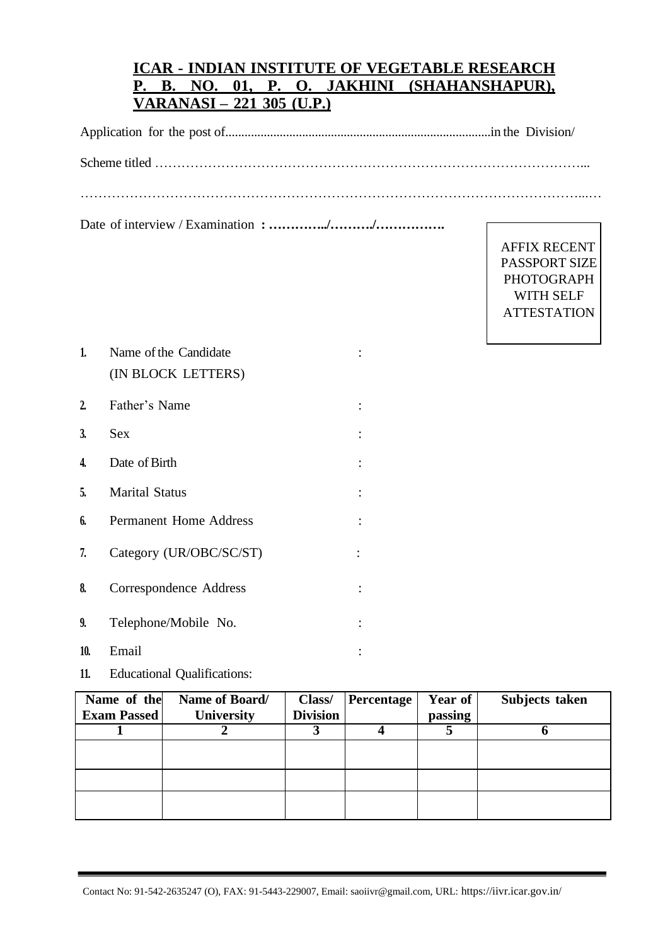## **ICAR - INDIAN INSTITUTE OF VEGETABLE RESEARCH P. B. NO. 01, P. O. JAKHINI (SHAHANSHAPUR), VARANASI – 221 305 (U.P.)**

Application for the post of...................................................................................in the Division/

Scheme titled ……………………………………………………………………………………...

…………………………………………………………………………………………………...…

Date of interview / Examination **: …………../………./…………….**

AFFIX RECENT PASSPORT SIZE PHOTOGRAPH WITH SELF **ATTESTATION** 

| 1.           | Name of the Candidate         |  |  |
|--------------|-------------------------------|--|--|
|              | (IN BLOCK LETTERS)            |  |  |
| $\mathbf{2}$ | Father's Name                 |  |  |
| 3.           | Sex                           |  |  |
| 4.           | Date of Birth                 |  |  |
| 5.           | <b>Marital Status</b>         |  |  |
| 6.           | <b>Permanent Home Address</b> |  |  |
| 7.           | Category (UR/OBC/SC/ST)       |  |  |
| 8.           | Correspondence Address        |  |  |
| 9.           | Telephone/Mobile No.          |  |  |

- **10.** Email :
- **11.** Educational Qualifications:

| Name of the        | Name of Board/    | Class/          | Percentage | Year of | Subjects taken |
|--------------------|-------------------|-----------------|------------|---------|----------------|
| <b>Exam Passed</b> | <b>University</b> | <b>Division</b> |            | passing |                |
|                    |                   |                 |            |         |                |
|                    |                   |                 |            |         |                |
|                    |                   |                 |            |         |                |
|                    |                   |                 |            |         |                |
|                    |                   |                 |            |         |                |
|                    |                   |                 |            |         |                |